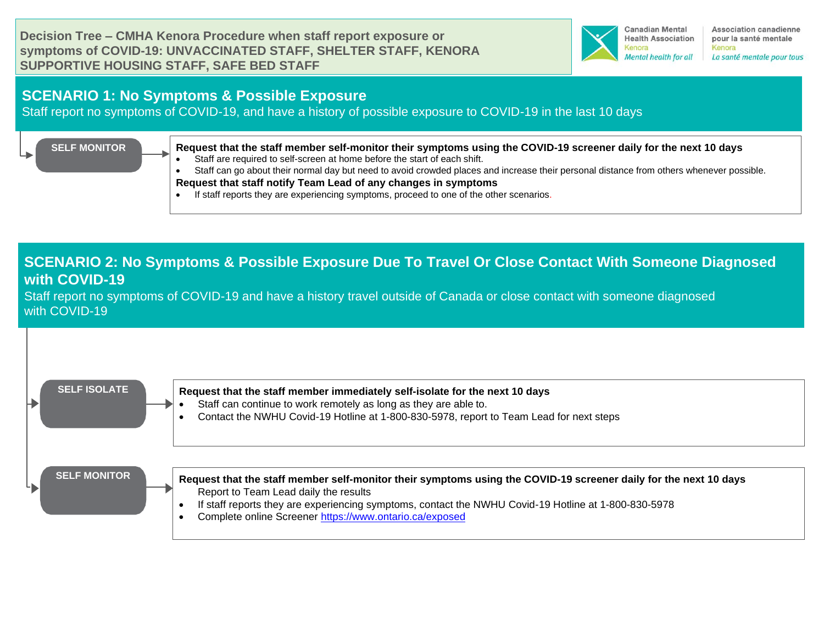**Decision Tree – CMHA Kenora Procedure when staff report exposure or symptoms of COVID-19: UNVACCINATED STAFF, SHELTER STAFF, KENORA SUPPORTIVE HOUSING STAFF, SAFE BED STAFF**



Association canadienne pour la santé mentale Kenora La santé mentale pour tous

### **SCENARIO 1: No Symptoms & Possible Exposure**

Staff report no symptoms of COVID-19, and have a history of possible exposure to COVID-19 in the last 10 days

#### **SELF MONITOR**

**Request that the staff member self-monitor their symptoms [using the COVID-19 screener daily for the next 10 days](https://covid-19.ontario.ca/self-assessment/#q0)**

Staff are required to self-screen at home before the start of each shift.

• Staff can go about their normal day but need to avoid crowded places and increase their personal distance from others whenever possible. **Request that staff notify Team Lead of any changes in symptoms**

• If staff reports they are experiencing symptoms, proceed to one of the other scenarios.

## **SCENARIO 2: No Symptoms & Possible Exposure Due To Travel Or Close Contact With Someone Diagnosed with COVID-19**

Staff report no symptoms of COVID-19 and have a history travel outside of Canada or close contact with someone diagnosed with COVID-19

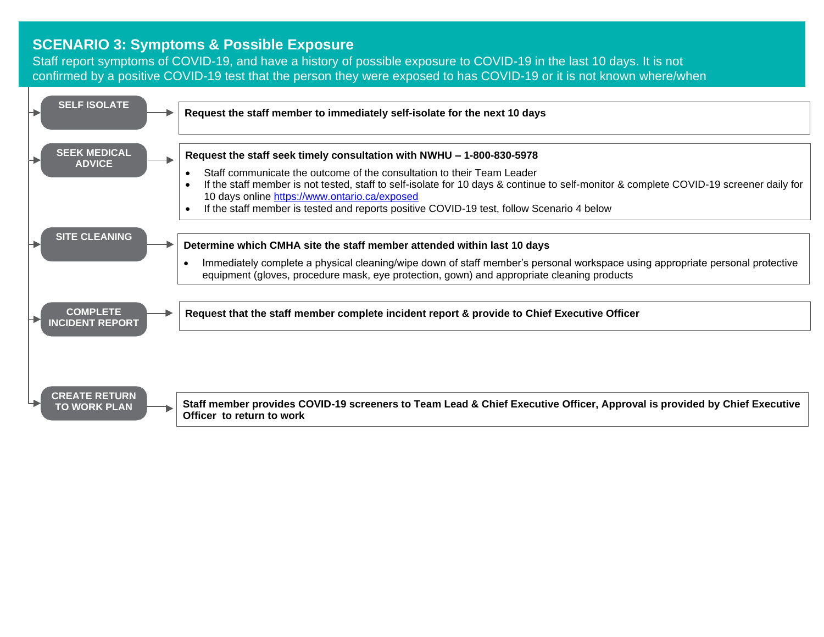#### **SCENARIO 3: Symptoms & Possible Exposure**

Staff report symptoms of COVID-19, and have a history of possible exposure to COVID-19 in the last 10 days. It is not confirmed by a positive COVID-19 test that the person they were exposed to has COVID-19 or it is not known where/when